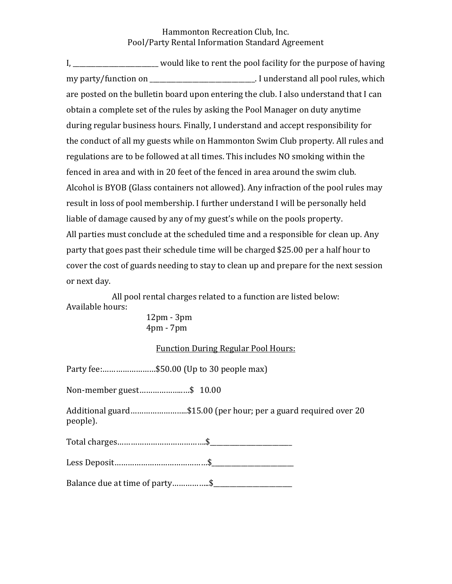## Hammonton Recreation Club, Inc. Pool/Party Rental Information Standard Agreement

I, \_\_\_\_\_\_\_\_\_\_\_\_\_\_\_\_\_\_\_\_\_\_\_ would like to rent the pool facility for the purpose of having my party/function on \_\_\_\_\_\_\_\_\_\_\_\_\_\_\_\_\_\_\_\_\_\_\_\_\_\_\_\_\_\_\_\_. I understand all pool rules, which are posted on the bulletin board upon entering the club. I also understand that I can obtain a complete set of the rules by asking the Pool Manager on duty anytime during regular business hours. Finally, I understand and accept responsibility for the conduct of all my guests while on Hammonton Swim Club property. All rules and regulations are to be followed at all times. This includes NO smoking within the fenced in area and with in 20 feet of the fenced in area around the swim club. Alcohol is BYOB (Glass containers not allowed). Any infraction of the pool rules may result in loss of pool membership. I further understand I will be personally held liable of damage caused by any of my guest's while on the pools property. All parties must conclude at the scheduled time and a responsible for clean up. Any party that goes past their schedule time will be charged \$25.00 per a half hour to cover the cost of guards needing to stay to clean up and prepare for the next session or next day.

All pool rental charges related to a function are listed below: Available hours:

12pm - 3pm 4pm - 7pm

## Function During Regular Pool Hours:

Party fee:……………………\$50.00 (Up to 30 people max)

Non-member guest………………..…\$ 10.00

Additional guard……………………..\$15.00 (per hour; per a guard required over 20 people).